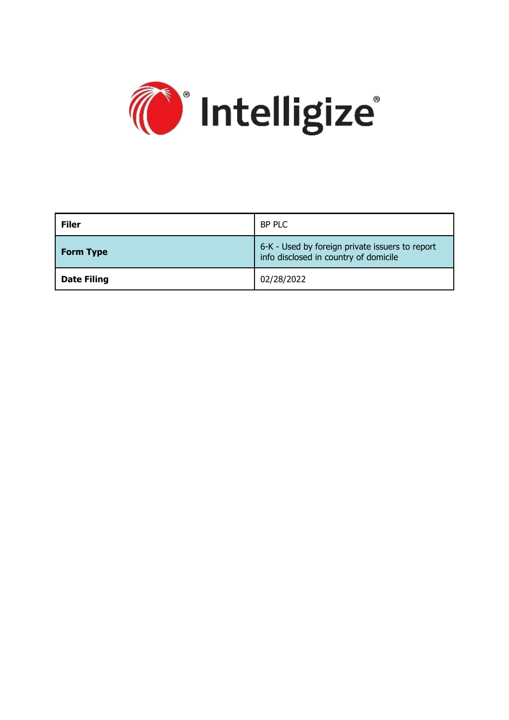

| <b>Filer</b>       | BP PLC                                                                                   |
|--------------------|------------------------------------------------------------------------------------------|
| <b>Form Type</b>   | 6-K - Used by foreign private issuers to report<br>info disclosed in country of domicile |
| <b>Date Filing</b> | 02/28/2022                                                                               |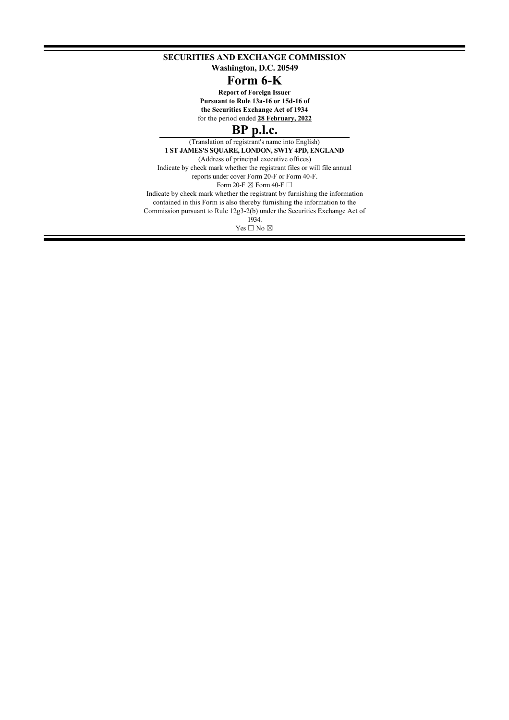**SECURITIES AND EXCHANGE COMMISSION**

**Washington, D.C. 20549**

# **Form 6-K**

**Report of Foreign Issuer Pursuant to Rule 13a-16 or 15d-16 of the Securities Exchange Act of 1934**

for the period ended **28 February, 2022**

# **BP p.l.c.**

(Translation of registrant's name into English) **1 ST JAMES'S SQUARE, LONDON, SW1Y 4PD, ENGLAND** (Address of principal executive offices) Indicate by check mark whether the registrant files or will file annual reports under cover Form 20-F or Form 40-F. Form 20-F  $\boxtimes$  Form 40-F  $\Box$ Indicate by check mark whether the registrant by furnishing the information contained in this Form is also thereby furnishing the information to the Commission pursuant to Rule 12g3-2(b) under the Securities Exchange Act of 1934. Yes  $\Box$  No  $\boxtimes$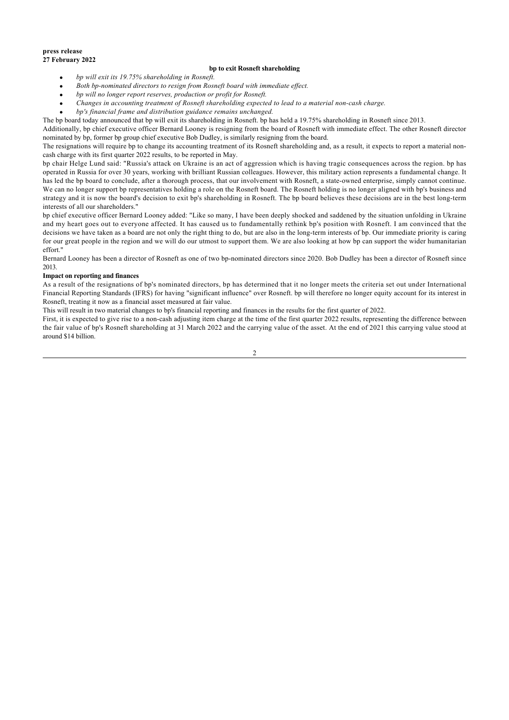#### **press release 27 February 2022**

### **bp to exit Rosneft shareholding**

- · *bp will exit its 19.75% shareholding in Rosneft.*
- · *Both bp-nominated directors to resign from Rosneft board with immediate effect.*
- · *bp will no longer report reserves, production or profit for Rosneft.*
- · *Changes in accounting treatment of Rosneft shareholding expected to lead to a material non-cash charge.*
- · *bp's financial frame and distribution guidance remains unchanged.*

The bp board today announced that bp will exit its shareholding in Rosneft. bp has held a 19.75% shareholding in Rosneft since 2013.

Additionally, bp chief executive officer Bernard Looney is resigning from the board of Rosneft with immediate effect. The other Rosneft director nominated by bp, former bp group chief executive Bob Dudley, is similarly resigning from the board.

The resignations will require bp to change its accounting treatment of its Rosneft shareholding and, as a result, it expects to report a material noncash charge with its first quarter 2022 results, to be reported in May.

bp chair Helge Lund said: "Russia's attack on Ukraine is an act of aggression which is having tragic consequences across the region. bp has operated in Russia for over 30 years, working with brilliant Russian colleagues. However, this military action represents a fundamental change. It has led the bp board to conclude, after a thorough process, that our involvement with Rosneft, a state-owned enterprise, simply cannot continue. We can no longer support bp representatives holding a role on the Rosneft board. The Rosneft holding is no longer aligned with bp's business and strategy and it is now the board's decision to exit bp's shareholding in Rosneft. The bp board believes these decisions are in the best long-term interests of all our shareholders."

bp chief executive officer Bernard Looney added: "Like so many, I have been deeply shocked and saddened by the situation unfolding in Ukraine and my heart goes out to everyone affected. It has caused us to fundamentally rethink bp's position with Rosneft. I am convinced that the decisions we have taken as a board are not only the right thing to do, but are also in the long-term interests of bp. Our immediate priority is caring for our great people in the region and we will do our utmost to support them. We are also looking at how bp can support the wider humanitarian effort."

Bernard Looney has been a director of Rosneft as one of two bp-nominated directors since 2020. Bob Dudley has been a director of Rosneft since 2013.

#### **Impact on reporting and finances**

As a result of the resignations of bp's nominated directors, bp has determined that it no longer meets the criteria set out under International Financial Reporting Standards (IFRS) for having "significant influence" over Rosneft. bp will therefore no longer equity account for its interest in Rosneft, treating it now as a financial asset measured at fair value.

This will result in two material changes to bp's financial reporting and finances in the results for the first quarter of 2022.

First, it is expected to give rise to a non-cash adjusting item charge at the time of the first quarter 2022 results, representing the difference between the fair value of bp's Rosneft shareholding at 31 March 2022 and the carrying value of the asset. At the end of 2021 this carrying value stood at around \$14 billion.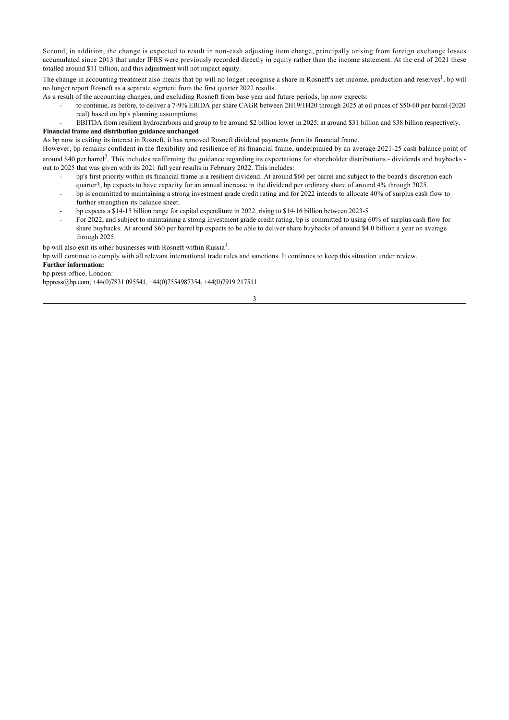Second, in addition, the change is expected to result in non-cash adjusting item charge, principally arising from foreign exchange losses accumulated since 2013 that under IFRS were previously recorded directly in equity rather than the income statement. At the end of 2021 these totalled around \$11 billion, and this adjustment will not impact equity.

The change in accounting treatment also means that bp will no longer recognise a share in Rosneft's net income, production and reserves<sup>1</sup>. bp will no longer report Rosneft as a separate segment from the first quarter 2022 results.

As a result of the accounting changes, and excluding Rosneft from base year and future periods, bp now expects:

- to continue, as before, to deliver a 7-9% EBIDA per share CAGR between 2H19/1H20 through 2025 at oil prices of \$50-60 per barrel (2020 real) based on bp's planning assumptions;
- EBITDA from resilient hydrocarbons and group to be around \$2 billion lower in 2025, at around \$31 billion and \$38 billion respectively.

## **Financial frame and distribution guidance unchanged**

As bp now is exiting its interest in Rosneft, it has removed Rosneft dividend payments from its financial frame.

However, bp remains confident in the flexibility and resilience of its financial frame, underpinned by an average 2021-25 cash balance point of around \$40 per barrel<sup>2</sup>. This includes reaffirming the guidance regarding its expectations for shareholder distributions - dividends and buybacks out to 2025 that was given with its 2021 full year results in February 2022. This includes:

- bp's first priority within its financial frame is a resilient dividend. At around \$60 per barrel and subject to the board's discretion each quarter3, bp expects to have capacity for an annual increase in the dividend per ordinary share of around 4% through 2025.
- bp is committed to maintaining a strong investment grade credit rating and for 2022 intends to allocate 40% of surplus cash flow to further strengthen its balance sheet.
- bp expects a \$14-15 billion range for capital expenditure in 2022, rising to \$14-16 billion between 2023-5.
- For 2022, and subject to maintaining a strong investment grade credit rating, bp is committed to using 60% of surplus cash flow for share buybacks. At around \$60 per barrel bp expects to be able to deliver share buybacks of around \$4.0 billion a year on average through 2025.

bp will also exit its other businesses with Rosneft within Russia<sup>4</sup>.

bp will continue to comply with all relevant international trade rules and sanctions. It continues to keep this situation under review. **Further information:**

bp press office, London:

bppress@bp.com; +44(0)7831 095541, +44(0)7554987354, +44(0)7919 217511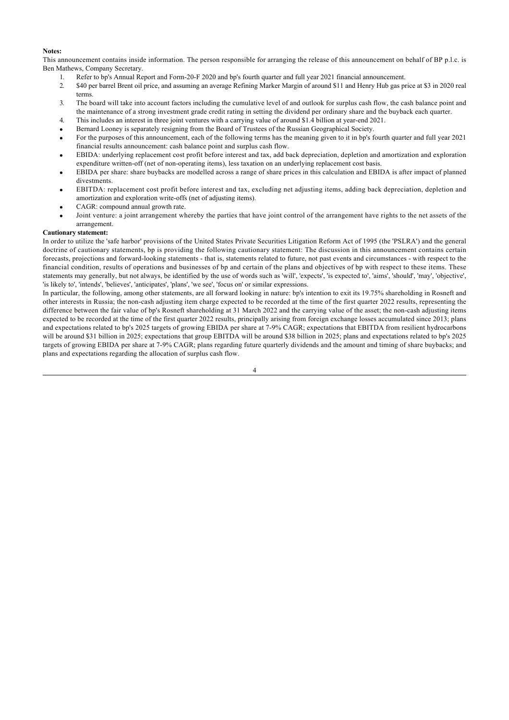### **Notes:**

This announcement contains inside information. The person responsible for arranging the release of this announcement on behalf of BP p.l.c. is Ben Mathews, Company Secretary.

- 1. Refer to bp's Annual Report and Form-20-F 2020 and bp's fourth quarter and full year 2021 financial announcement.
- 2. \$40 per barrel Brent oil price, and assuming an average Refining Marker Margin of around \$11 and Henry Hub gas price at \$3 in 2020 real terms.
- 3. The board will take into account factors including the cumulative level of and outlook for surplus cash flow, the cash balance point and the maintenance of a strong investment grade credit rating in setting the dividend per ordinary share and the buyback each quarter.
- 4. This includes an interest in three joint ventures with a carrying value of around \$1.4 billion at year-end 2021.
- Bernard Looney is separately resigning from the Board of Trustees of the Russian Geographical Society.
- For the purposes of this announcement, each of the following terms has the meaning given to it in bp's fourth quarter and full year 2021 financial results announcement: cash balance point and surplus cash flow.
- · EBIDA: underlying replacement cost profit before interest and tax, add back depreciation, depletion and amortization and exploration expenditure written-off (net of non-operating items), less taxation on an underlying replacement cost basis.
- EBIDA per share: share buybacks are modelled across a range of share prices in this calculation and EBIDA is after impact of planned divestments.
- EBITDA: replacement cost profit before interest and tax, excluding net adjusting items, adding back depreciation, depletion and amortization and exploration write-offs (net of adjusting items).
- CAGR: compound annual growth rate.
- Joint venture: a joint arrangement whereby the parties that have joint control of the arrangement have rights to the net assets of the arrangement.

#### **Cautionary statement:**

In order to utilize the 'safe harbor' provisions of the United States Private Securities Litigation Reform Act of 1995 (the 'PSLRA') and the general doctrine of cautionary statements, bp is providing the following cautionary statement: The discussion in this announcement contains certain forecasts, projections and forward-looking statements - that is, statements related to future, not past events and circumstances - with respect to the financial condition, results of operations and businesses of bp and certain of the plans and objectives of bp with respect to these items. These statements may generally, but not always, be identified by the use of words such as 'will', 'expects', 'is expected to', 'aims', 'should', 'may', 'objective', 'is likely to', 'intends', 'believes', 'anticipates', 'plans', 'we see', 'focus on' or similar expressions.

In particular, the following, among other statements, are all forward looking in nature: bp's intention to exit its 19.75% shareholding in Rosneft and other interests in Russia; the non-cash adjusting item charge expected to be recorded at the time of the first quarter 2022 results, representing the difference between the fair value of bp's Rosneft shareholding at 31 March 2022 and the carrying value of the asset; the non-cash adjusting items expected to be recorded at the time of the first quarter 2022 results, principally arising from foreign exchange losses accumulated since 2013; plans and expectations related to bp's 2025 targets of growing EBIDA per share at 7-9% CAGR; expectations that EBITDA from resilient hydrocarbons will be around \$31 billion in 2025; expectations that group EBITDA will be around \$38 billion in 2025; plans and expectations related to bp's 2025 targets of growing EBIDA per share at 7-9% CAGR; plans regarding future quarterly dividends and the amount and timing of share buybacks; and plans and expectations regarding the allocation of surplus cash flow.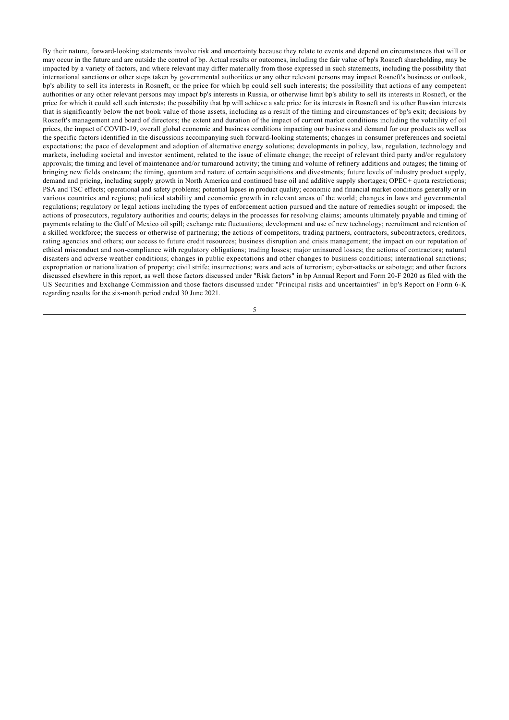By their nature, forward-looking statements involve risk and uncertainty because they relate to events and depend on circumstances that will or may occur in the future and are outside the control of bp. Actual results or outcomes, including the fair value of bp's Rosneft shareholding, may be impacted by a variety of factors, and where relevant may differ materially from those expressed in such statements, including the possibility that international sanctions or other steps taken by governmental authorities or any other relevant persons may impact Rosneft's business or outlook, bp's ability to sell its interests in Rosneft, or the price for which bp could sell such interests; the possibility that actions of any competent authorities or any other relevant persons may impact bp's interests in Russia, or otherwise limit bp's ability to sell its interests in Rosneft, or the price for which it could sell such interests; the possibility that bp will achieve a sale price for its interests in Rosneft and its other Russian interests that is significantly below the net book value of those assets, including as a result of the timing and circumstances of bp's exit; decisions by Rosneft's management and board of directors; the extent and duration of the impact of current market conditions including the volatility of oil prices, the impact of COVID-19, overall global economic and business conditions impacting our business and demand for our products as well as the specific factors identified in the discussions accompanying such forward-looking statements; changes in consumer preferences and societal expectations; the pace of development and adoption of alternative energy solutions; developments in policy, law, regulation, technology and markets, including societal and investor sentiment, related to the issue of climate change; the receipt of relevant third party and/or regulatory approvals; the timing and level of maintenance and/or turnaround activity; the timing and volume of refinery additions and outages; the timing of bringing new fields onstream; the timing, quantum and nature of certain acquisitions and divestments; future levels of industry product supply, demand and pricing, including supply growth in North America and continued base oil and additive supply shortages; OPEC+ quota restrictions; PSA and TSC effects; operational and safety problems; potential lapses in product quality; economic and financial market conditions generally or in various countries and regions; political stability and economic growth in relevant areas of the world; changes in laws and governmental regulations; regulatory or legal actions including the types of enforcement action pursued and the nature of remedies sought or imposed; the actions of prosecutors, regulatory authorities and courts; delays in the processes for resolving claims; amounts ultimately payable and timing of payments relating to the Gulf of Mexico oil spill; exchange rate fluctuations; development and use of new technology; recruitment and retention of a skilled workforce; the success or otherwise of partnering; the actions of competitors, trading partners, contractors, subcontractors, creditors, rating agencies and others; our access to future credit resources; business disruption and crisis management; the impact on our reputation of ethical misconduct and non-compliance with regulatory obligations; trading losses; major uninsured losses; the actions of contractors; natural disasters and adverse weather conditions; changes in public expectations and other changes to business conditions; international sanctions; expropriation or nationalization of property; civil strife; insurrections; wars and acts of terrorism; cyber-attacks or sabotage; and other factors discussed elsewhere in this report, as well those factors discussed under "Risk factors" in bp Annual Report and Form 20-F 2020 as filed with the US Securities and Exchange Commission and those factors discussed under "Principal risks and uncertainties" in bp's Report on Form 6-K regarding results for the six-month period ended 30 June 2021.